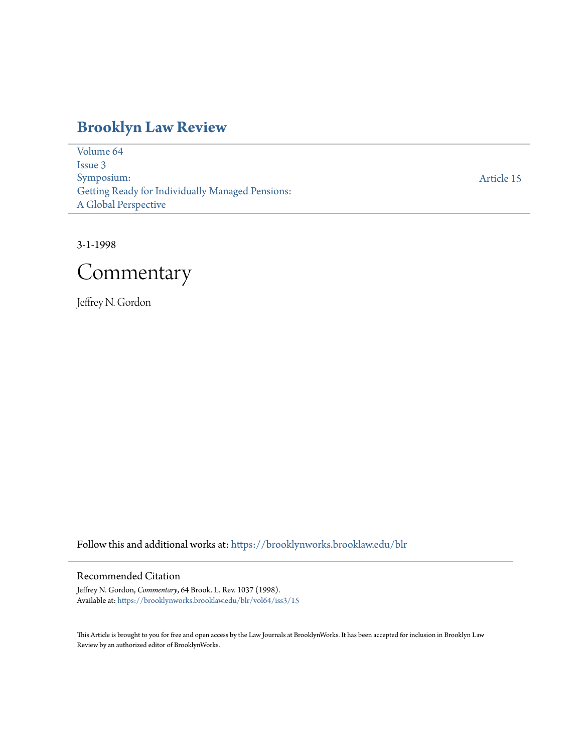# **[Brooklyn Law Review](https://brooklynworks.brooklaw.edu/blr?utm_source=brooklynworks.brooklaw.edu%2Fblr%2Fvol64%2Fiss3%2F15&utm_medium=PDF&utm_campaign=PDFCoverPages)**

[Volume 64](https://brooklynworks.brooklaw.edu/blr/vol64?utm_source=brooklynworks.brooklaw.edu%2Fblr%2Fvol64%2Fiss3%2F15&utm_medium=PDF&utm_campaign=PDFCoverPages) [Issue 3](https://brooklynworks.brooklaw.edu/blr/vol64/iss3?utm_source=brooklynworks.brooklaw.edu%2Fblr%2Fvol64%2Fiss3%2F15&utm_medium=PDF&utm_campaign=PDFCoverPages) Symposium: Getting Ready for Individually Managed Pensions: A Global Perspective

[Article 15](https://brooklynworks.brooklaw.edu/blr/vol64/iss3/15?utm_source=brooklynworks.brooklaw.edu%2Fblr%2Fvol64%2Fiss3%2F15&utm_medium=PDF&utm_campaign=PDFCoverPages)

3-1-1998



Jeffrey N. Gordon

Follow this and additional works at: [https://brooklynworks.brooklaw.edu/blr](https://brooklynworks.brooklaw.edu/blr?utm_source=brooklynworks.brooklaw.edu%2Fblr%2Fvol64%2Fiss3%2F15&utm_medium=PDF&utm_campaign=PDFCoverPages)

#### Recommended Citation

Jeffrey N. Gordon, *Commentary*, 64 Brook. L. Rev. 1037 (1998). Available at: [https://brooklynworks.brooklaw.edu/blr/vol64/iss3/15](https://brooklynworks.brooklaw.edu/blr/vol64/iss3/15?utm_source=brooklynworks.brooklaw.edu%2Fblr%2Fvol64%2Fiss3%2F15&utm_medium=PDF&utm_campaign=PDFCoverPages)

This Article is brought to you for free and open access by the Law Journals at BrooklynWorks. It has been accepted for inclusion in Brooklyn Law Review by an authorized editor of BrooklynWorks.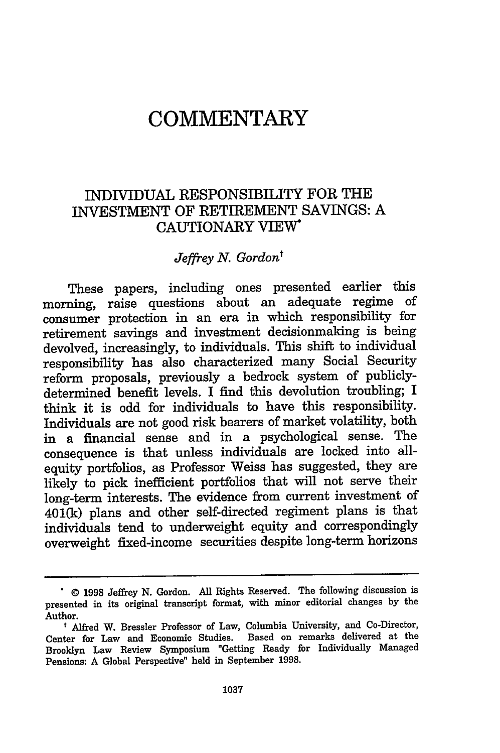# **COMMENTARY**

### INDIVIDUAL RESPONSIBILITY FOR THE INVESTMENT OF RETIREMENT SAVINGS: A CAUTIONARY VIEW\*

#### *Jeffrey N. Gordon'*

These papers, including ones presented earlier this morning, raise questions about an adequate regime of consumer protection in an era in which responsibility for retirement savings and investment decisionmaking is being devolved, increasingly, to individuals. This shift to individual responsibility has also characterized many Social Security reform proposals, previously a bedrock system of publiclydetermined benefit levels. I find this devolution troubling; I think it is odd for individuals to have this responsibility. Individuals are not good risk bearers of market volatility, both in a financial sense and in a psychological sense. The consequence is that unless individuals are locked into allequity portfolios, as Professor Weiss has suggested, they are likely to pick inefficient portfolios that will not serve their long-term interests. The evidence from current investment of 401(k) plans and other self-directed regiment plans is that individuals tend to underweight equity and correspondingly overweight fixed-income securities despite long-term horizons

**<sup>.© 1998</sup>** Jeffrey **N.** Gordon. **All** Rights Reserved. The following discussion is presented in its original transcript format, with minor editorial changes **by** the Author.

t Alfred W. Bressler Professor of Law, Columbia University, and Co-Director, Center for Law and Economic Studies. Based on remarks delivered at the Brooklyn Law Review Symposium "Getting Ready for Individually Managed Pensions: A Global Perspective" held in September **1998.**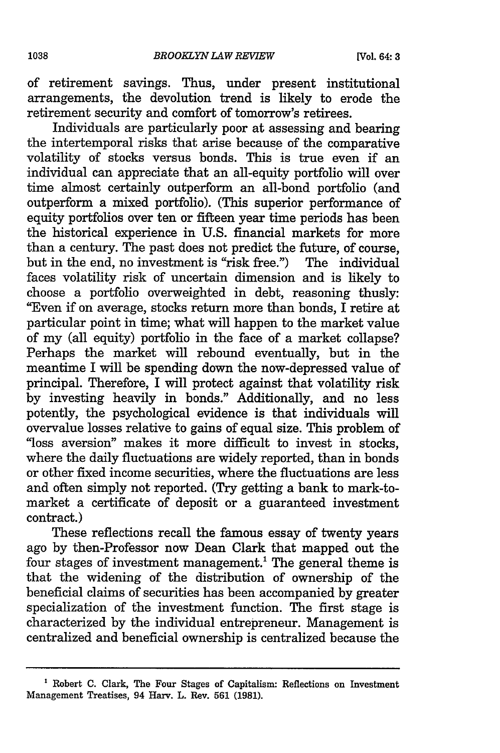of retirement savings. Thus, under present institutional arrangements, the devolution trend is likely to erode the retirement security and comfort of tomorrow's retirees.

Individuals are particularly poor at assessing and bearing the intertemporal risks that arise because of the comparative volatility of stocks versus bonds. This is true even if an individual can appreciate that an all-equity portfolio will over time almost certainly outperform an all-bond portfolio (and outperform a mixed portfolio). (This superior performance of equity portfolios over ten or fifteen year time periods has been the historical experience in **U.S.** financial markets for more than a century. The past does not predict the future, of course, but in the end, no investment is "risk free.") The individual faces volatility risk of uncertain dimension and is likely to choose a portfolio overweighted in debt, reasoning thusly: "Even if on average, stocks return more than bonds, I retire at particular point in time; what will happen to the market value of my (all equity) portfolio in the face of a market collapse? Perhaps the market will rebound eventually, but in the meantime I will be spending down the now-depressed value of principal. Therefore, I will protect against that volatility risk by investing heavily in bonds." Additionally, and no less potently, the psychological evidence is that individuals will overvalue losses relative to gains of equal size. This problem of "loss aversion" makes it more difficult to invest in stocks, where the daily fluctuations are widely reported, than in bonds or other fixed income securities, where the fluctuations are less and often simply not reported. (Try getting a bank to mark-tomarket a certificate of deposit or a guaranteed investment contract.)

These reflections recall the famous essay of twenty years ago by then-Professor now Dean Clark that mapped out the four stages of investment management.' The general theme is that the widening of the distribution of ownership of the beneficial claims of securities has been accompanied by greater specialization of the investment function. The first stage is characterized by the individual entrepreneur. Management is centralized and beneficial ownership is centralized because the

**<sup>&#</sup>x27;** Robert C. Clark, The Four Stages of Capitalism: Reflections on Investment Management Treatises, 94 Harv. L. Rev. **561** (1981).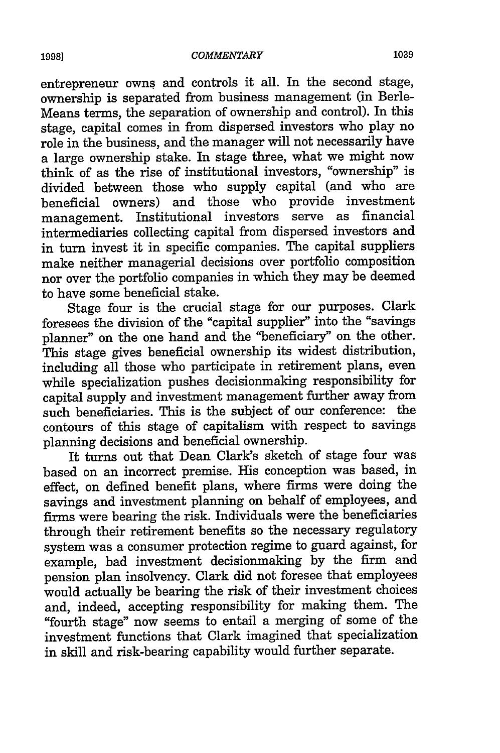entrepreneur owns and controls it all. In the second stage, ownership is separated from business management (in Berle-Means terms, the separation of ownership and control). In this stage, capital comes in from dispersed investors who play no role in the business, and the manager will not necessarily have a large ownership stake. In stage three, what we might now think of as the rise of institutional investors, "ownership" is divided between those who supply capital (and who are beneficial owners) and those who provide investment management. Institutional investors serve as financial intermediaries collecting capital from dispersed investors and in turn invest it in specific companies. The capital suppliers make neither managerial decisions over portfolio composition nor over the portfolio companies in which they may be deemed to have some beneficial stake.

Stage four is the crucial stage for our purposes. Clark foresees the division of the "capital supplier" into the "savings planner" on the one hand and the "beneficiary" on the other. This stage gives beneficial ownership its widest distribution, including all those who participate in retirement plans, even while specialization pushes decisionmaking responsibility for capital supply and investment management further away from such beneficiaries. This is the subject of our conference: the contours of this stage of capitalism with respect to savings planning decisions and beneficial ownership.

It turns out that Dean Clark's sketch of stage four was based on an incorrect premise. His conception was based, in effect, on defined benefit plans, where firms were doing the savings and investment planning on behalf of employees, and firms were bearing the risk. Individuals were the beneficiaries through their retirement benefits so the necessary regulatory system was a consumer protection regime to guard against, for example, bad investment decisionmaking by the firm and pension plan insolvency. Clark did not foresee that employees would actually be bearing the risk of their investment choices and, indeed, accepting responsibility for making them. The "fourth stage" now seems to entail a merging of some of the investment functions that Clark imagined that specialization in skill and risk-bearing capability would further separate.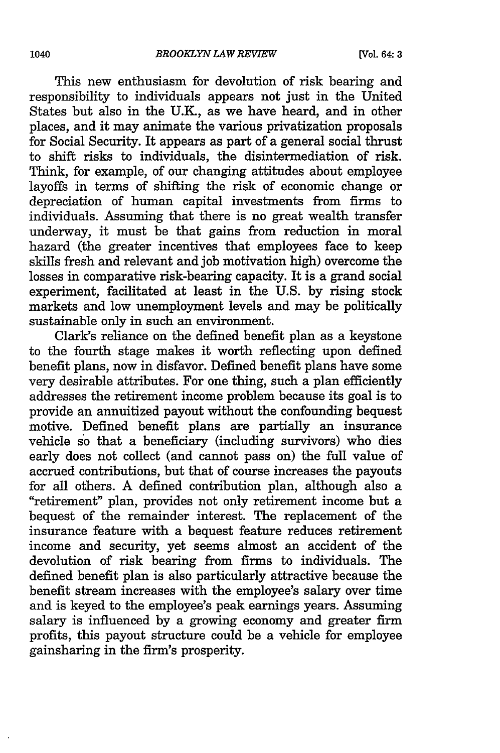This new enthusiasm for devolution of risk bearing and responsibility to individuals appears not just in the United States but also in the U.K., as we have heard, and in other places, and it may animate the various privatization proposals for Social Security. It appears as part of a general social thrust to shift risks to individuals, the disintermediation of risk. Think, for example, of our changing attitudes about employee layoffs in terms of shifting the risk of economic change or depreciation of human capital investments from firms to individuals. Assuming that there is no great wealth transfer underway, it must be that gains from reduction in moral hazard (the greater incentives that employees face to keep skills fresh and relevant and job motivation high) overcome the losses in comparative risk-bearing capacity. It is a grand social experiment, facilitated at least in the U.S. by rising stock markets and low unemployment levels and may be politically sustainable only in such an environment.

Clark's reliance on the defined benefit plan as a keystone to the fourth stage makes it worth reflecting upon defined benefit plans, now in disfavor. Defined benefit plans have some very desirable attributes. For one thing, such a plan efficiently addresses the retirement income problem because its goal is to provide an annuitized payout without the confounding bequest motive. Defined benefit plans are partially an insurance vehicle so that a beneficiary (including survivors) who dies early does not collect (and cannot pass on) the full value of accrued contributions, but that of course increases the payouts for all others. A defined contribution plan, although also a "retirement" plan, provides not only retirement income but a bequest of the remainder interest. The replacement of the insurance feature with a bequest feature reduces retirement income and security, yet seems almost an accident of the devolution of risk bearing from firms to individuals. The defined benefit plan is also particularly attractive because the benefit stream increases with the employee's salary over time and is keyed to the employee's peak earnings years. Assuming salary is influenced by a growing economy and greater firm profits, this payout structure could be a vehicle for employee gainsharing in the firm's prosperity.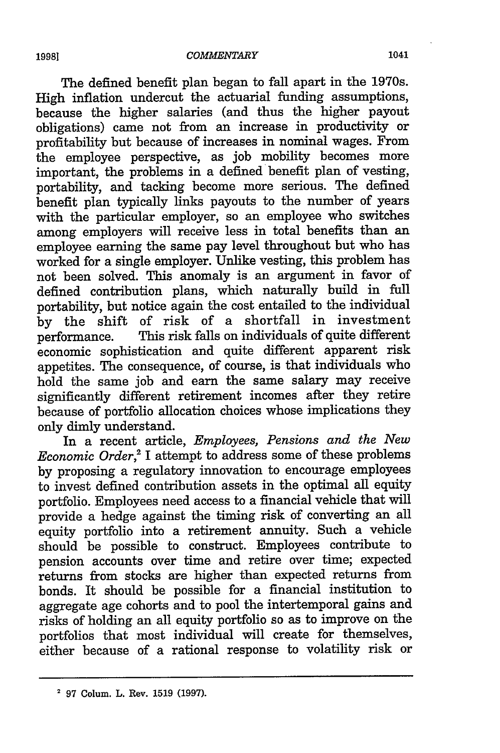The defined benefit plan began to fall apart in the 1970s. High inflation undercut the actuarial funding assumptions, because the higher salaries (and thus the higher payout obligations) came not from an increase in productivity or profitability but because of increases in nominal wages. From the employee perspective, as job mobility becomes more important, the problems in a defined benefit plan of vesting, portability, and tacking become more serious. The defined benefit plan typically links payouts to the number of years with the particular employer, so an employee who switches among employers will receive less in total benefits than an employee earning the same pay level throughout but who has worked for a single employer. Unlike vesting, this problem has not been solved. This anomaly is an argument in favor of defined contribution plans, which naturally build in full portability, but notice again the cost entailed to the individual by the shift of risk of a shortfall in investment This risk falls on individuals of quite different economic sophistication and quite different apparent risk appetites. The consequence, of course, is that individuals who hold the same job and earn the same salary may receive significantly different retirement incomes after they retire because of portfolio allocation choices whose implications they only dimly understand.

In a recent article, *Employees, Pensions and the New Economic Order,'* I attempt to address some of these problems by proposing a regulatory innovation to encourage employees to invest defined contribution assets in the optimal all equity portfolio. Employees need access to a financial vehicle that will provide a hedge against the timing risk of converting an all equity portfolio into a retirement annuity. Such a vehicle should be possible to construct. Employees contribute to pension accounts over time and retire over time; expected returns from stocks are higher than expected returns from bonds. It should be possible for a financial institution to aggregate age cohorts and to pool the intertemporal gains and risks of holding an all equity portfolio so as to improve on the portfolios that most individual will create for themselves, either because of a rational response to volatility risk or

**<sup>2</sup>** 97 Colum. L. Rev. 1519 (1997).